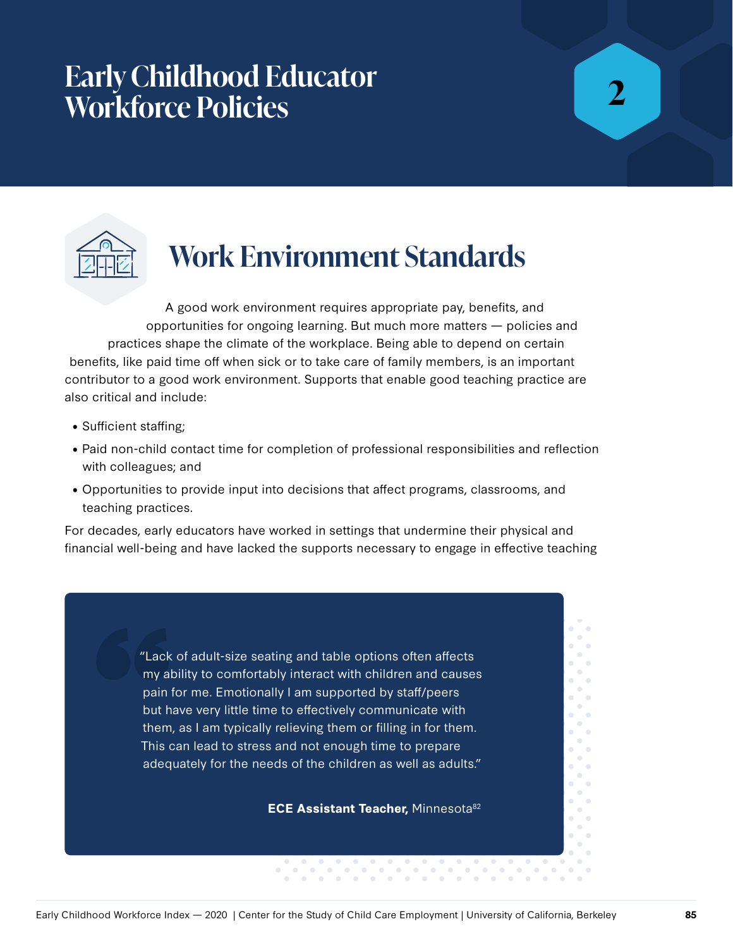## **Early Childhood Educator Workforce Policies**

**2**



# **Work Environment Standards**

A good work environment requires appropriate pay, benefits, and opportunities for ongoing learning. But much more matters — policies and practices shape the climate of the workplace. Being able to depend on certain benefits, like paid time off when sick or to take care of family members, is an important contributor to a good work environment. Supports that enable good teaching practice are also critical and include:

- Sufficient staffing;
- Paid non-child contact time for completion of professional responsibilities and reflection with colleagues; and
- Opportunities to provide input into decisions that affect programs, classrooms, and teaching practices.

For decades, early educators have worked in settings that undermine their physical and financial well-being and have lacked the supports necessary to engage in effective teaching

> "Lack of adult-size seating and table options often affects my ability to comfortably interact with children and causes pain for me. Emotionally I am supported by staff/peers but have very little time to effectively communicate with them, as I am typically relieving them or filling in for them. This can lead to stress and not enough time to prepare adequately for the needs of the children as well as adults."

> > **ECE Assistant Teacher, Minnesota82**

 $\sim$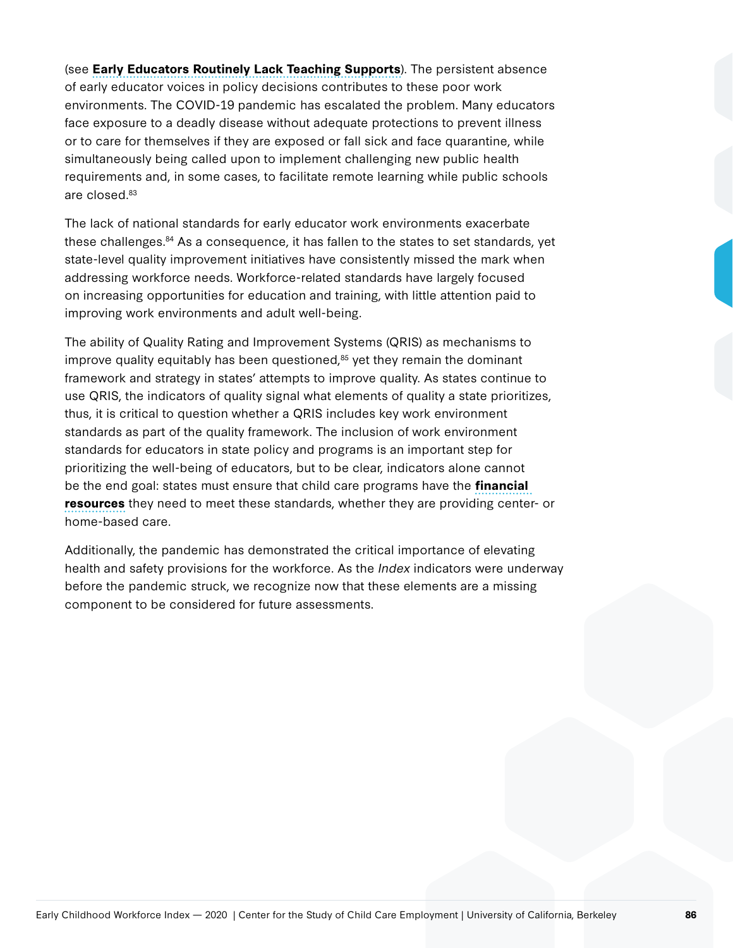(see **Early Educators Routinely Lack Teaching Supports**). The persistent absence of early educator voices in policy decisions contributes to these poor work environments. The COVID-19 pandemic has escalated the problem. Many educators face exposure to a deadly disease without adequate protections to prevent illness or to care for themselves if they are exposed or fall sick and face quarantine, while simultaneously being called upon to implement challenging new public health requirements and, in some cases, to facilitate remote learning while public schools are closed.83

The lack of national standards for early educator work environments exacerbate these challenges.84 As a consequence, it has fallen to the states to set standards, yet state-level quality improvement initiatives have consistently missed the mark when addressing workforce needs. Workforce-related standards have largely focused on increasing opportunities for education and training, with little attention paid to improving work environments and adult well-being.

The ability of Quality Rating and Improvement Systems (QRIS) as mechanisms to improve quality equitably has been questioned, $85$  yet they remain the dominant framework and strategy in states' attempts to improve quality. As states continue to use QRIS, the indicators of quality signal what elements of quality a state prioritizes, thus, it is critical to question whether a QRIS includes key work environment standards as part of the quality framework. The inclusion of work environment standards for educators in state policy and programs is an important step for prioritizing the well-being of educators, but to be clear, indicators alone cannot be the end goal: states must ensure that child care programs have the **financial resources** they need to meet these standards, whether they are providing center- or home-based care.

Additionally, the pandemic has demonstrated the critical importance of elevating health and safety provisions for the workforce. As the *Index* indicators were underway before the pandemic struck, we recognize now that these elements are a missing component to be considered for future assessments.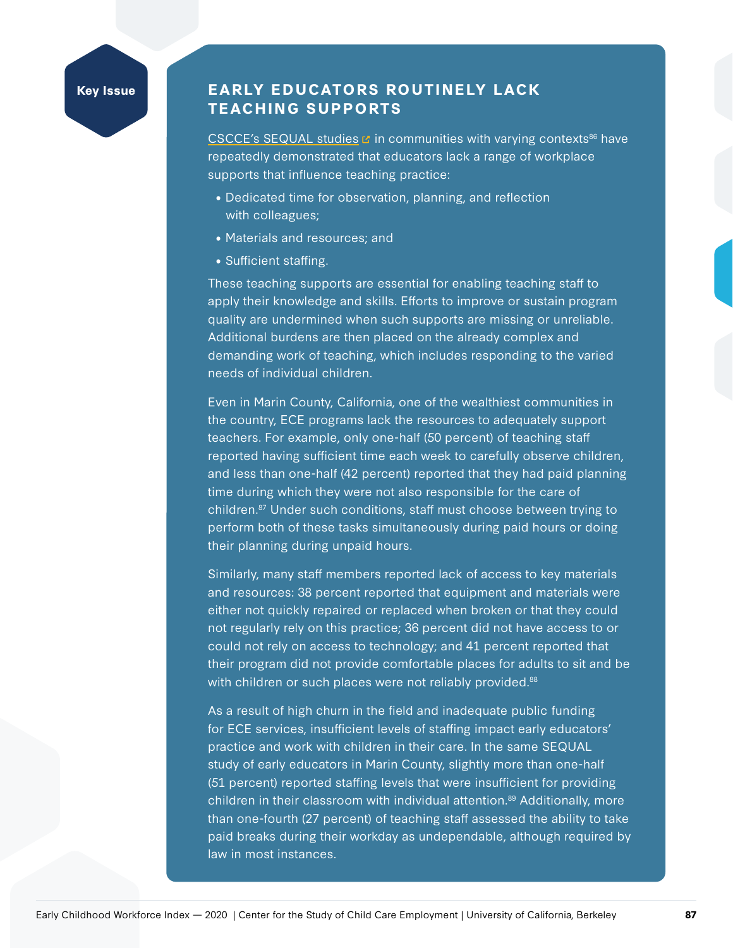### **Key Issue EARLY EDUCATORS ROUTINELY LACK TEACHING SUPPORTS**

[CSCCE's SEQUAL studies](https://cscce.berkeley.edu/topic/teacher-work-environments/sequal/teachers-voices/)  $\mathbb{Z}$  in communities with varying contexts<sup>86</sup> have repeatedly demonstrated that educators lack a range of workplace supports that influence teaching practice:

- Dedicated time for observation, planning, and reflection with colleagues;
- Materials and resources; and
- Sufficient staffing.

These teaching supports are essential for enabling teaching staff to apply their knowledge and skills. Efforts to improve or sustain program quality are undermined when such supports are missing or unreliable. Additional burdens are then placed on the already complex and demanding work of teaching, which includes responding to the varied needs of individual children.

Even in Marin County, California, one of the wealthiest communities in the country, ECE programs lack the resources to adequately support teachers. For example, only one-half (50 percent) of teaching staff reported having sufficient time each week to carefully observe children, and less than one-half (42 percent) reported that they had paid planning time during which they were not also responsible for the care of children.87 Under such conditions, staff must choose between trying to perform both of these tasks simultaneously during paid hours or doing their planning during unpaid hours.

Similarly, many staff members reported lack of access to key materials and resources: 38 percent reported that equipment and materials were either not quickly repaired or replaced when broken or that they could not regularly rely on this practice; 36 percent did not have access to or could not rely on access to technology; and 41 percent reported that their program did not provide comfortable places for adults to sit and be with children or such places were not reliably provided.<sup>88</sup>

As a result of high churn in the field and inadequate public funding for ECE services, insufficient levels of staffing impact early educators' practice and work with children in their care. In the same SEQUAL study of early educators in Marin County, slightly more than one-half (51 percent) reported staffing levels that were insufficient for providing children in their classroom with individual attention.<sup>89</sup> Additionally, more than one-fourth (27 percent) of teaching staff assessed the ability to take paid breaks during their workday as undependable, although required by law in most instances.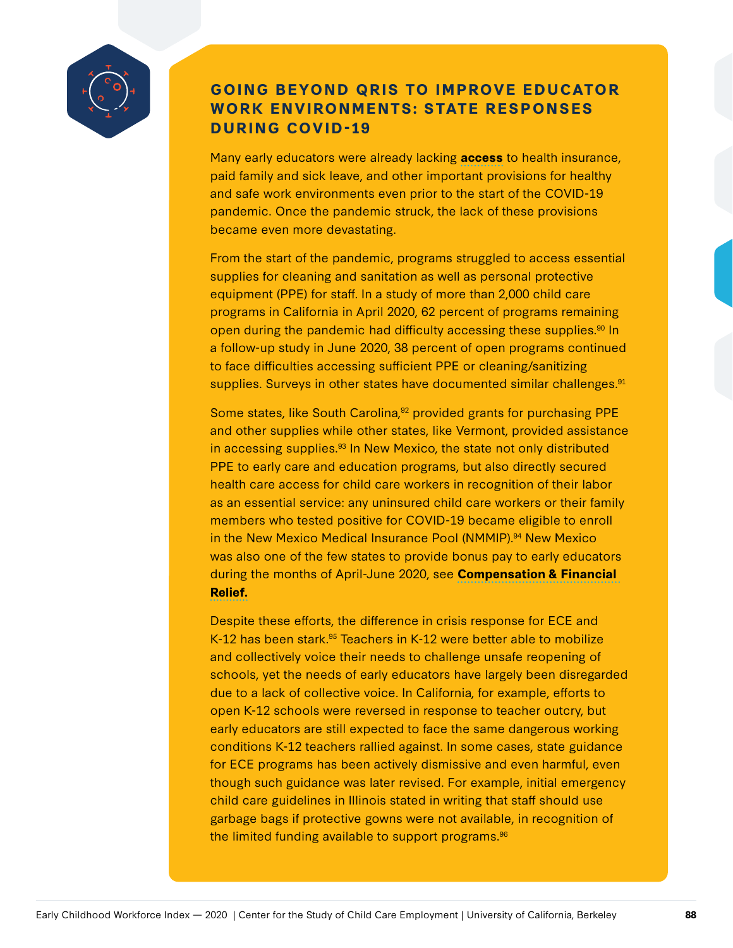

### **GOING BEYOND QRIS TO IMPROVE EDUCATOR WORK ENVIRONMENTS: STATE RESPONSES DURING COVID-19**

Many early educators were already lacking **access** to health insurance, paid family and sick leave, and other important provisions for healthy and safe work environments even prior to the start of the COVID-19 pandemic. Once the pandemic struck, the lack of these provisions became even more devastating.

From the start of the pandemic, programs struggled to access essential supplies for cleaning and sanitation as well as personal protective equipment (PPE) for staff. In a study of more than 2,000 child care programs in California in April 2020, 62 percent of programs remaining open during the pandemic had difficulty accessing these supplies.<sup>90</sup> In a follow-up study in June 2020, 38 percent of open programs continued to face difficulties accessing sufficient PPE or cleaning/sanitizing supplies. Surveys in other states have documented similar challenges.<sup>91</sup>

Some states, like South Carolina,<sup>92</sup> provided grants for purchasing PPE and other supplies while other states, like Vermont, provided assistance in accessing supplies.<sup>93</sup> In New Mexico, the state not only distributed PPE to early care and education programs, but also directly secured health care access for child care workers in recognition of their labor as an essential service: any uninsured child care workers or their family members who tested positive for COVID-19 became eligible to enroll in the New Mexico Medical Insurance Pool (NMMIP).<sup>94</sup> New Mexico was also one of the few states to provide bonus pay to early educators during the months of April-June 2020, see **Compensation & Financial Relief.**

Despite these efforts, the difference in crisis response for ECE and K-12 has been stark.<sup>95</sup> Teachers in K-12 were better able to mobilize and collectively voice their needs to challenge unsafe reopening of schools, yet the needs of early educators have largely been disregarded due to a lack of collective voice. In California, for example, efforts to open K-12 schools were reversed in response to teacher outcry, but early educators are still expected to face the same dangerous working conditions K-12 teachers rallied against. In some cases, state guidance for ECE programs has been actively dismissive and even harmful, even though such guidance was later revised. For example, initial emergency child care guidelines in Illinois stated in writing that staff should use garbage bags if protective gowns were not available, in recognition of the limited funding available to support programs.<sup>96</sup>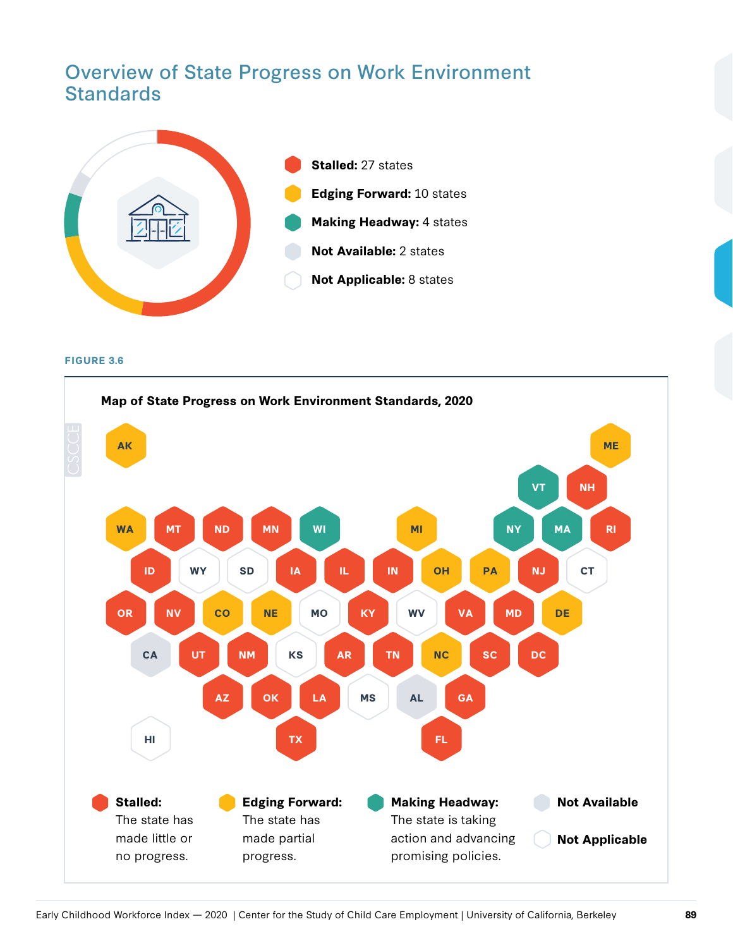## Overview of State Progress on Work Environment **Standards**



**FIGURE 3.6**

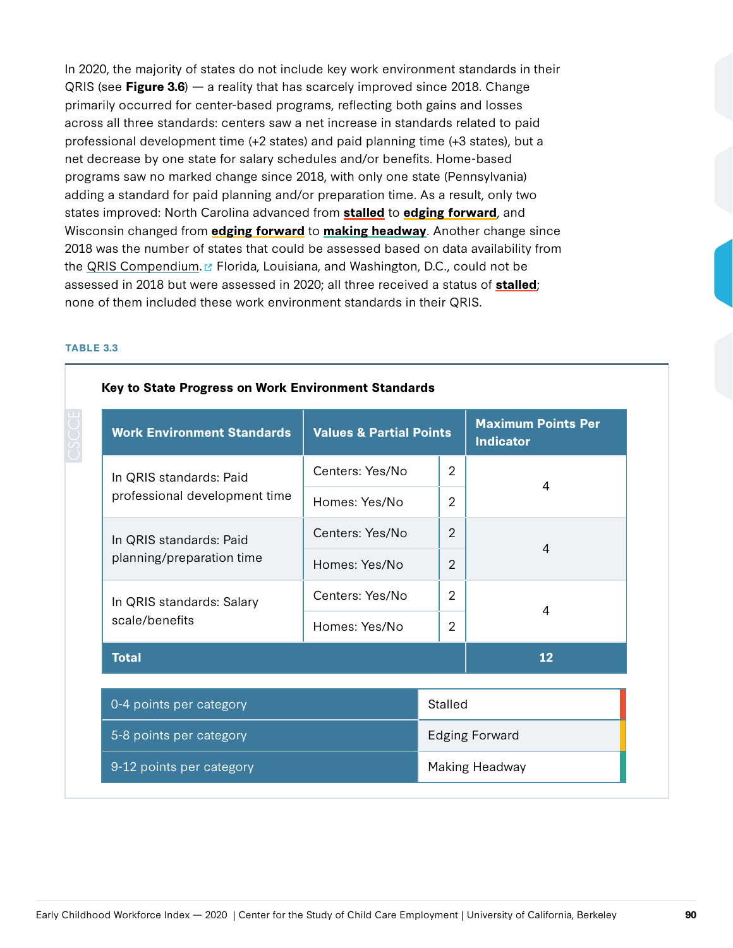In 2020, the majority of states do not include key work environment standards in their QRIS (see **Figure 3.6**) — a reality that has scarcely improved since 2018. Change primarily occurred for center-based programs, reflecting both gains and losses across all three standards: centers saw a net increase in standards related to paid professional development time (+2 states) and paid planning time (+3 states), but a net decrease by one state for salary schedules and/or benefits. Home-based programs saw no marked change since 2018, with only one state (Pennsylvania) adding a standard for paid planning and/or preparation time. As a result, only two states improved: North Carolina advanced from **stalled** to **edging forward**, and Wisconsin changed from **edging forward** to **making headway**. Another change since 2018 was the number of states that could be assessed based on data availability from the [QRIS Compendium.](https://qualitycompendium.org/) E Florida, Louisiana, and Washington, D.C., could not be assessed in 2018 but were assessed in 2020; all three received a status of **stalled**; none of them included these work environment standards in their QRIS.

#### **TABLE 3.3**

| <b>Work Environment Standards</b><br><b>Values &amp; Partial Points</b> |                       |                | <b>Maximum Points Per</b><br><b>Indicator</b> |  |  |  |
|-------------------------------------------------------------------------|-----------------------|----------------|-----------------------------------------------|--|--|--|
| In QRIS standards: Paid                                                 | Centers: Yes/No       | $\overline{2}$ | $\overline{A}$                                |  |  |  |
| professional development time                                           | Homes: Yes/No         | $\overline{2}$ |                                               |  |  |  |
| In QRIS standards: Paid                                                 | Centers: Yes/No       | 2              | $\overline{A}$                                |  |  |  |
| planning/preparation time                                               | Homes: Yes/No         | $\overline{2}$ |                                               |  |  |  |
| In QRIS standards: Salary                                               | Centers: Yes/No       | $\overline{2}$ | 4                                             |  |  |  |
| scale/benefits                                                          | Homes: Yes/No         | $\overline{2}$ |                                               |  |  |  |
| <b>Total</b>                                                            |                       | 12             |                                               |  |  |  |
| 0-4 points per category                                                 | Stalled               |                |                                               |  |  |  |
| 5-8 points per category                                                 | <b>Edging Forward</b> |                |                                               |  |  |  |
| 9-12 points per category                                                |                       |                | Making Headway                                |  |  |  |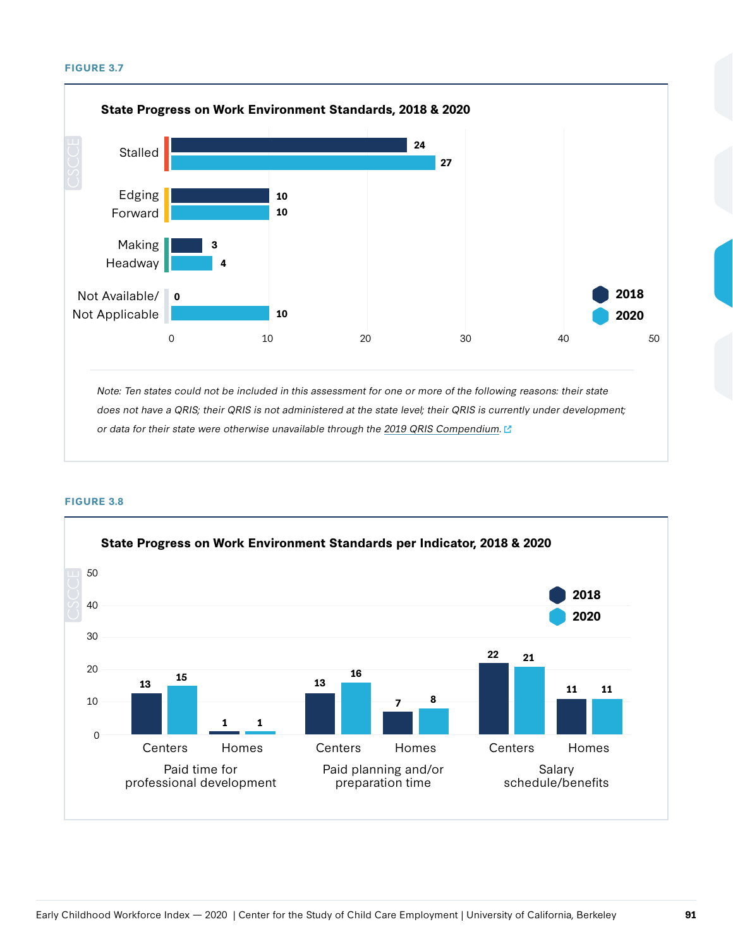#### **FIGURE 3.7**



**FIGURE 3.8**

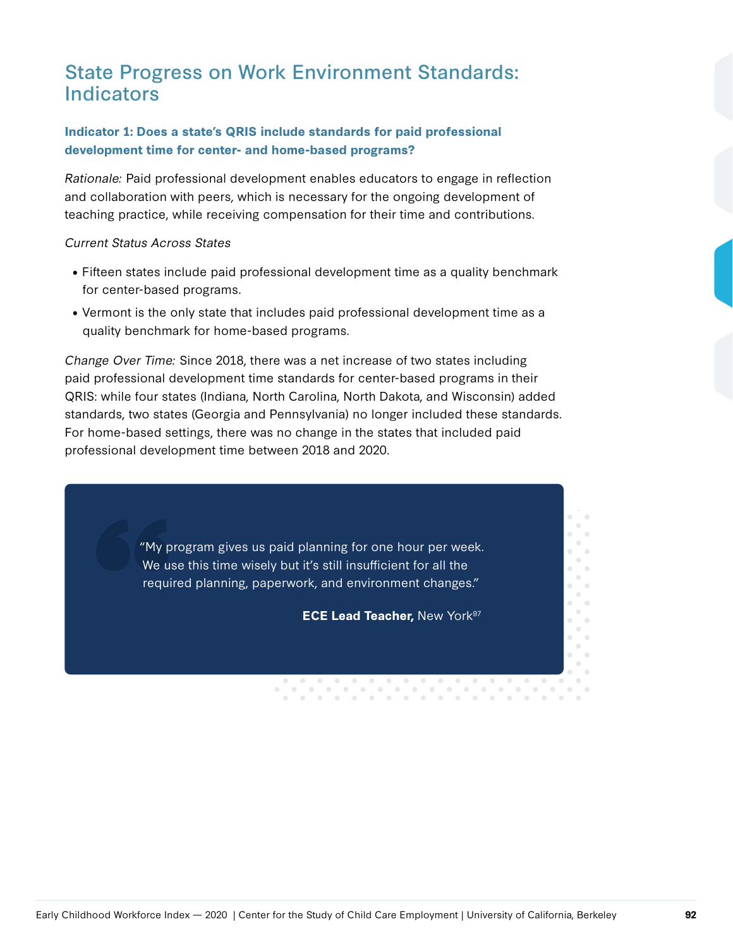## State Progress on Work Environment Standards: Indicators

#### **Indicator 1: Does a state's QRIS include standards for paid professional development time for center- and home-based programs?**

Rationale: Paid professional development enables educators to engage in reflection and collaboration with peers, which is necessary for the ongoing development of teaching practice, while receiving compensation for their time and contributions.

#### Current Status Across States

- Fifteen states include paid professional development time as a quality benchmark for center-based programs.
- Vermont is the only state that includes paid professional development time as a quality benchmark for home-based programs.

Change Over Time: Since 2018, there was a net increase of two states including paid professional development time standards for center-based programs in their QRIS: while four states (Indiana, North Carolina, North Dakota, and Wisconsin) added standards, two states (Georgia and Pennsylvania) no longer included these standards. For home-based settings, there was no change in the states that included paid professional development time between 2018 and 2020.

> "My program gives us paid planning for one hour per week. We use this time wisely but it's still insufficient for all the required planning, paperwork, and environment changes."

> > **ECE Lead Teacher, New York<sup>97</sup>**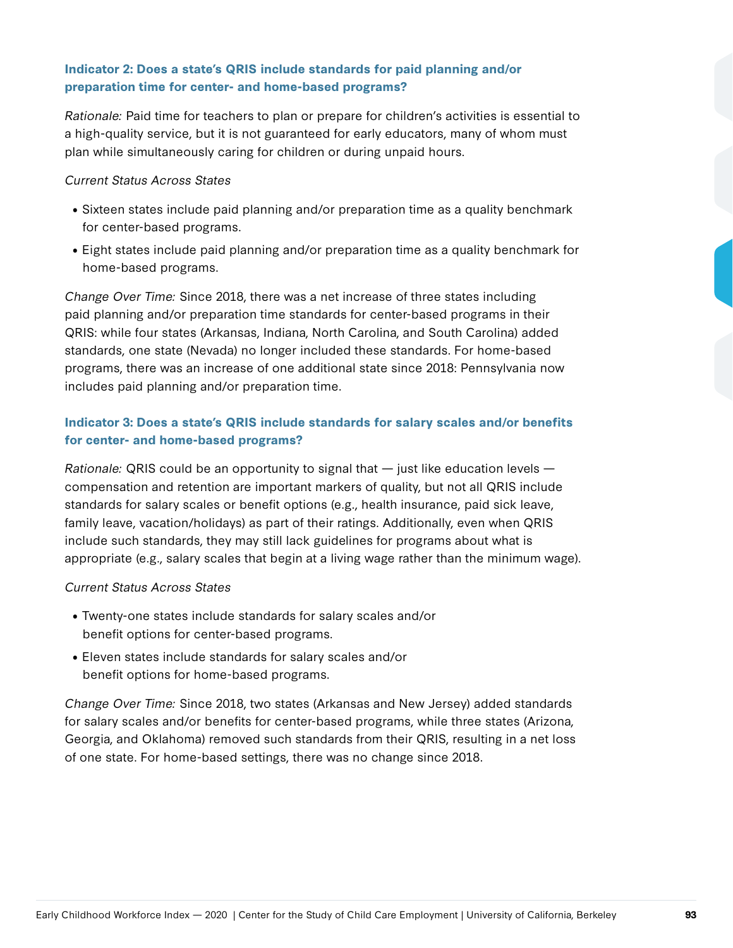#### **Indicator 2: Does a state's QRIS include standards for paid planning and/or preparation time for center- and home-based programs?**

Rationale: Paid time for teachers to plan or prepare for children's activities is essential to a high-quality service, but it is not guaranteed for early educators, many of whom must plan while simultaneously caring for children or during unpaid hours.

#### Current Status Across States

- Sixteen states include paid planning and/or preparation time as a quality benchmark for center-based programs.
- Eight states include paid planning and/or preparation time as a quality benchmark for home-based programs.

Change Over Time: Since 2018, there was a net increase of three states including paid planning and/or preparation time standards for center-based programs in their QRIS: while four states (Arkansas, Indiana, North Carolina, and South Carolina) added standards, one state (Nevada) no longer included these standards. For home-based programs, there was an increase of one additional state since 2018: Pennsylvania now includes paid planning and/or preparation time.

#### **Indicator 3: Does a state's QRIS include standards for salary scales and/or benefits for center- and home-based programs?**

Rationale: QRIS could be an opportunity to signal that  $-$  just like education levels  $$ compensation and retention are important markers of quality, but not all QRIS include standards for salary scales or benefit options (e.g., health insurance, paid sick leave, family leave, vacation/holidays) as part of their ratings. Additionally, even when QRIS include such standards, they may still lack guidelines for programs about what is appropriate (e.g., salary scales that begin at a living wage rather than the minimum wage).

#### Current Status Across States

- Twenty-one states include standards for salary scales and/or benefit options for center-based programs.
- Eleven states include standards for salary scales and/or benefit options for home-based programs.

Change Over Time: Since 2018, two states (Arkansas and New Jersey) added standards for salary scales and/or benefits for center-based programs, while three states (Arizona, Georgia, and Oklahoma) removed such standards from their QRIS, resulting in a net loss of one state. For home-based settings, there was no change since 2018.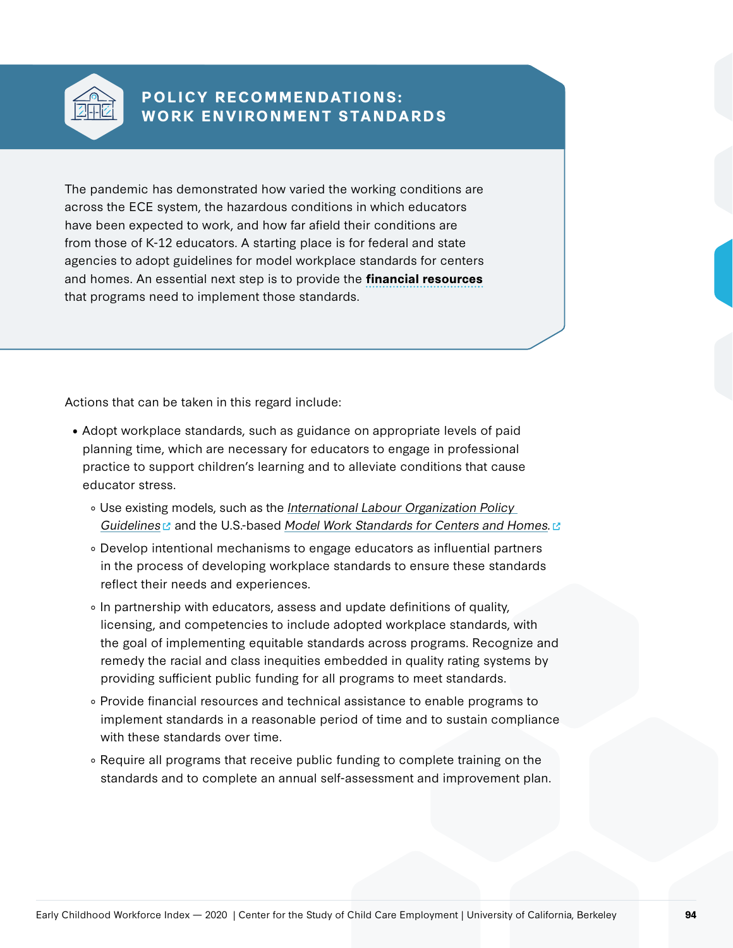

### **POLICY RECOMMENDATIONS: WORK ENVIRONMENT STANDARDS**

The pandemic has demonstrated how varied the working conditions are across the ECE system, the hazardous conditions in which educators have been expected to work, and how far afield their conditions are from those of K-12 educators. A starting place is for federal and state agencies to adopt guidelines for model workplace standards for centers and homes. An essential next step is to provide the **financial resources** that programs need to implement those standards.

Actions that can be taken in this regard include:

- Adopt workplace standards, such as guidance on appropriate levels of paid planning time, which are necessary for educators to engage in professional practice to support children's learning and to alleviate conditions that cause educator stress.
	- o Use existing models, such as the International Labour Organization Policy [Guidelines](https://www.ilo.org/wcmsp5/groups/public/---ed_dialogue/---sector/documents/normativeinstrument/wcms_236528.pdf)  $\Box$  and the U.S.-based [Model Work Standards for Centers and Homes.](https://cscce.berkeley.edu/creating-better-child-care-jobs-model-work-standards/)  $\Box$
	- Develop intentional mechanisms to engage educators as influential partners in the process of developing workplace standards to ensure these standards reflect their needs and experiences.
	- In partnership with educators, assess and update definitions of quality, licensing, and competencies to include adopted workplace standards, with the goal of implementing equitable standards across programs. Recognize and remedy the racial and class inequities embedded in quality rating systems by providing sufficient public funding for all programs to meet standards.
	- Provide financial resources and technical assistance to enable programs to implement standards in a reasonable period of time and to sustain compliance with these standards over time.
	- Require all programs that receive public funding to complete training on the standards and to complete an annual self-assessment and improvement plan.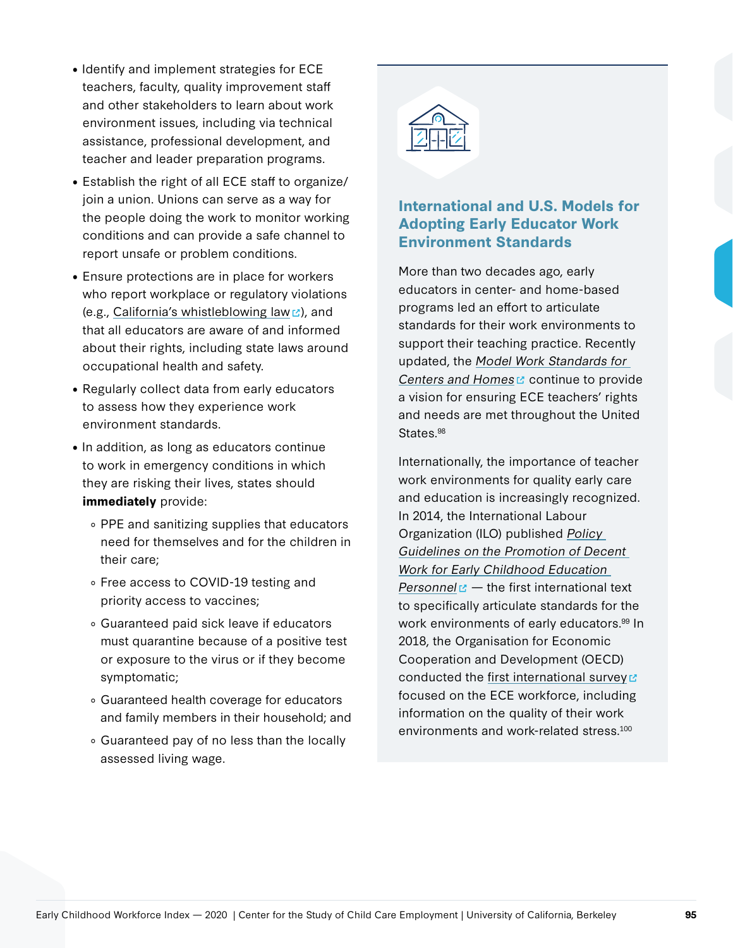- Identify and implement strategies for ECE teachers, faculty, quality improvement staff and other stakeholders to learn about work environment issues, including via technical assistance, professional development, and teacher and leader preparation programs.
- Establish the right of all ECE staff to organize/ join a union. Unions can serve as a way for the people doing the work to monitor working conditions and can provide a safe channel to report unsafe or problem conditions.
- Ensure protections are in place for workers who report workplace or regulatory violations (e.g., [California's whistleblowing law](https://leginfo.legislature.ca.gov/faces/codes_displayText.xhtml?lawCode=HSC&division=2.&title=&part=&chapter=3.4.&article=3.)  $\mathbb{Z}$ ), and that all educators are aware of and informed about their rights, including state laws around occupational health and safety.
- Regularly collect data from early educators to assess how they experience work environment standards.
- In addition, as long as educators continue to work in emergency conditions in which they are risking their lives, states should **immediately** provide:
	- PPE and sanitizing supplies that educators need for themselves and for the children in their care;
	- Free access to COVID-19 testing and priority access to vaccines;
	- Guaranteed paid sick leave if educators must quarantine because of a positive test or exposure to the virus or if they become symptomatic;
	- Guaranteed health coverage for educators and family members in their household; and
	- Guaranteed pay of no less than the locally assessed living wage.



### **International and U.S. Models for Adopting Early Educator Work Environment Standards**

More than two decades ago, early educators in center- and home-based programs led an effort to articulate standards for their work environments to support their teaching practice. Recently updated, the [Model Work Standards for](https://cscce.berkeley.edu/creating-better-child-care-jobs-model-work-standards/)  [Centers and Homes](https://cscce.berkeley.edu/creating-better-child-care-jobs-model-work-standards/)  $\mathfrak c$  continue to provide a vision for ensuring ECE teachers' rights and needs are met throughout the United States.<sup>98</sup>

Internationally, the importance of teacher work environments for quality early care and education is increasingly recognized. In 2014, the International Labour Organization (ILO) published [Policy](https://www.ilo.org/wcmsp5/groups/public/@ed_dialogue/@sector/documents/normativeinstrument/wcms_236528~1.pdf)  [Guidelines on the Promotion of Decent](https://www.ilo.org/wcmsp5/groups/public/@ed_dialogue/@sector/documents/normativeinstrument/wcms_236528~1.pdf)  [Work for Early Childhood Education](https://www.ilo.org/wcmsp5/groups/public/@ed_dialogue/@sector/documents/normativeinstrument/wcms_236528~1.pdf)  [Personnel](https://www.ilo.org/wcmsp5/groups/public/@ed_dialogue/@sector/documents/normativeinstrument/wcms_236528~1.pdf)  $\mathbb{Z}$  – the first international text to specifically articulate standards for the work environments of early educators.<sup>99</sup> In 2018, the Organisation for Economic Cooperation and Development (OECD) conducted the [first international survey](https://www.oecd-ilibrary.org/education/providing-quality-early-childhood-education-and-care_301005d1-en)  $\mathbb Z$ focused on the ECE workforce, including information on the quality of their work environments and work-related stress.100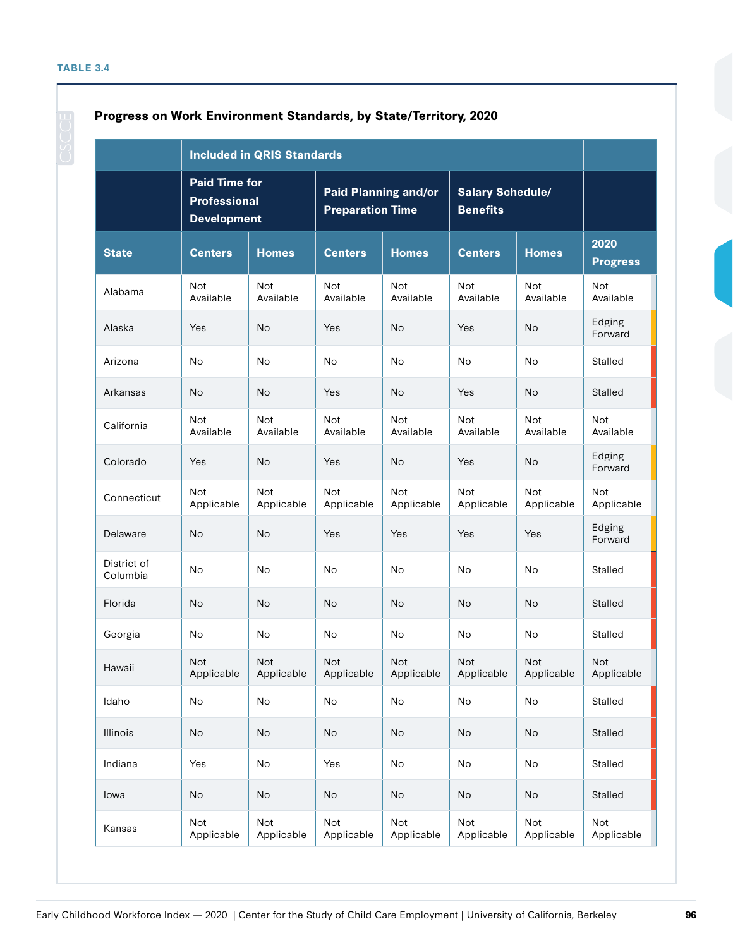|                         | <b>Paid Time for</b><br><b>Professional</b><br><b>Development</b> |                          | <b>Paid Planning and/or</b><br><b>Preparation Time</b> |                          | <b>Salary Schedule/</b><br><b>Benefits</b> |                          |                         |  |
|-------------------------|-------------------------------------------------------------------|--------------------------|--------------------------------------------------------|--------------------------|--------------------------------------------|--------------------------|-------------------------|--|
| <b>State</b>            | <b>Centers</b>                                                    | <b>Homes</b>             | <b>Centers</b>                                         | <b>Homes</b>             | <b>Centers</b>                             | <b>Homes</b>             | 2020<br><b>Progress</b> |  |
| Alabama                 | Not<br>Available                                                  | <b>Not</b><br>Available  | <b>Not</b><br>Available                                | Not<br>Available         | <b>Not</b><br>Available                    | <b>Not</b><br>Available  | Not<br>Available        |  |
| Alaska                  | Yes                                                               | No                       | Yes                                                    | No                       | Yes                                        | No                       | Edging<br>Forward       |  |
| Arizona                 | No                                                                | No                       | No                                                     | No                       | No                                         | No                       | Stalled                 |  |
| Arkansas                | No                                                                | No                       | Yes                                                    | No                       | Yes                                        | <b>No</b>                | Stalled                 |  |
| California              | Not<br>Available                                                  | <b>Not</b><br>Available  | <b>Not</b><br>Available                                | Not<br>Available         | Not<br>Available                           | <b>Not</b><br>Available  | <b>Not</b><br>Available |  |
| Colorado                | Yes                                                               | No                       | Yes                                                    | <b>No</b>                | Yes                                        | No                       | Edging<br>Forward       |  |
| Connecticut             | Not<br>Applicable                                                 | <b>Not</b><br>Applicable | <b>Not</b><br>Applicable                               | <b>Not</b><br>Applicable | <b>Not</b><br>Applicable                   | <b>Not</b><br>Applicable | Not<br>Applicable       |  |
| Delaware                | No                                                                | No                       | Yes                                                    | Yes                      | Yes                                        | Yes                      | Edging<br>Forward       |  |
| District of<br>Columbia | No                                                                | No                       | No                                                     | No                       | No                                         | No                       | Stalled                 |  |
| Florida                 | No                                                                | No                       | <b>No</b>                                              | No                       | <b>No</b>                                  | <b>No</b>                | Stalled                 |  |
| Georgia                 | No                                                                | No                       | No                                                     | No                       | No                                         | No                       | Stalled                 |  |
| Hawaii                  | Not<br>Applicable                                                 | Not<br>Applicable        | Not<br>Applicable                                      | Not<br>Applicable        | Not<br>Applicable                          | Not<br>Applicable        | Not<br>Applicable       |  |
| Idaho                   | No                                                                | No                       | No                                                     | No                       | No                                         | No                       | Stalled                 |  |
| Illinois                | No                                                                | No                       | No                                                     | No                       | No                                         | <b>No</b>                | Stalled                 |  |
| Indiana                 | Yes                                                               | No                       | Yes                                                    | No                       | No                                         | No                       | Stalled                 |  |
| lowa                    | No                                                                | No                       | No                                                     | No                       | No                                         | No                       | Stalled                 |  |
| Kansas                  | Not<br>Applicable                                                 | Not<br>Applicable        | Not<br>Applicable                                      | Not<br>Applicable        | Not<br>Applicable                          | Not<br>Applicable        | Not<br>Applicable       |  |

#### **Progress on Work Environment Standards, by State/Territory, 2020**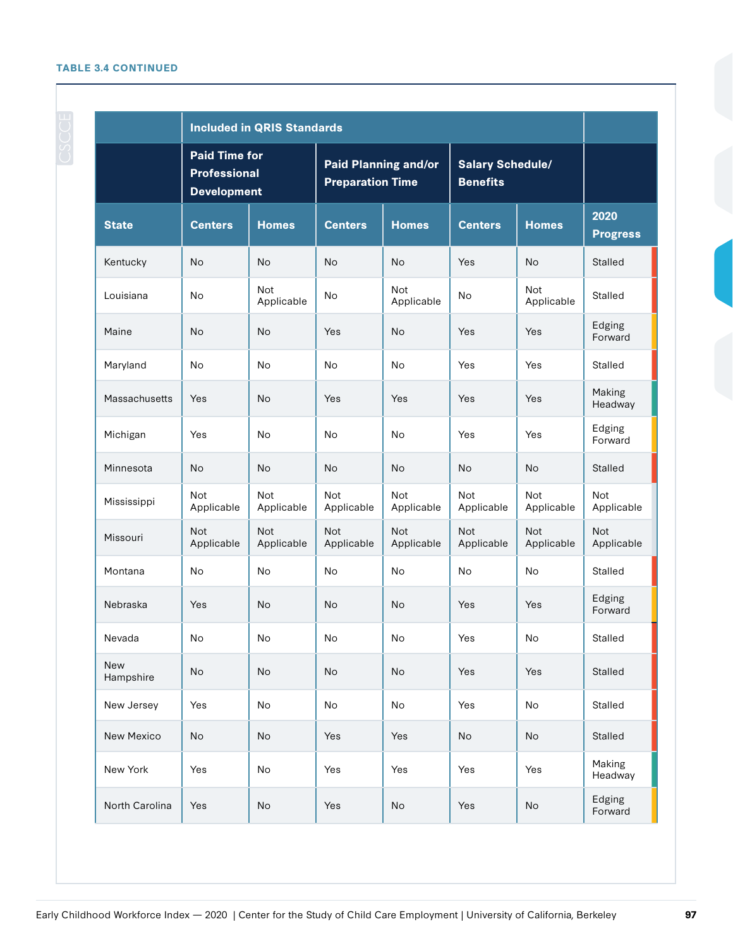#### **TABLE 3.4 CONTINUED**

| <b>Included in QRIS Standards</b> |                                                                   |                          |                                                 |                          |                                            |                          |                          |  |
|-----------------------------------|-------------------------------------------------------------------|--------------------------|-------------------------------------------------|--------------------------|--------------------------------------------|--------------------------|--------------------------|--|
|                                   | <b>Paid Time for</b><br><b>Professional</b><br><b>Development</b> |                          | Paid Planning and/or<br><b>Preparation Time</b> |                          | <b>Salary Schedule/</b><br><b>Benefits</b> |                          |                          |  |
| <b>State</b>                      | <b>Centers</b>                                                    | <b>Homes</b>             | <b>Centers</b>                                  | <b>Homes</b>             | <b>Centers</b>                             | <b>Homes</b>             | 2020<br><b>Progress</b>  |  |
| Kentucky                          | No                                                                | <b>No</b>                | No                                              | <b>No</b>                | Yes                                        | <b>No</b>                | <b>Stalled</b>           |  |
| Louisiana                         | No                                                                | <b>Not</b><br>Applicable | No                                              | <b>Not</b><br>Applicable | No                                         | <b>Not</b><br>Applicable | Stalled                  |  |
| Maine                             | No                                                                | No                       | Yes                                             | No                       | Yes                                        | Yes                      | Edging<br>Forward        |  |
| Maryland                          | No                                                                | No                       | No                                              | No                       | Yes                                        | Yes                      | Stalled                  |  |
| Massachusetts                     | Yes                                                               | No                       | Yes                                             | Yes                      | Yes                                        | Yes                      | Making<br>Headway        |  |
| Michigan                          | Yes                                                               | <b>No</b>                | No                                              | No                       | Yes                                        | Yes                      | Edging<br>Forward        |  |
| Minnesota                         | No                                                                | No                       | No                                              | No                       | <b>No</b>                                  | No                       | Stalled                  |  |
| Mississippi                       | Not<br>Applicable                                                 | <b>Not</b><br>Applicable | <b>Not</b><br>Applicable                        | <b>Not</b><br>Applicable | <b>Not</b><br>Applicable                   | <b>Not</b><br>Applicable | <b>Not</b><br>Applicable |  |
| Missouri                          | <b>Not</b><br>Applicable                                          | <b>Not</b><br>Applicable | <b>Not</b><br>Applicable                        | <b>Not</b><br>Applicable | <b>Not</b><br>Applicable                   | <b>Not</b><br>Applicable | <b>Not</b><br>Applicable |  |
| Montana                           | No                                                                | <b>No</b>                | <b>No</b>                                       | <b>No</b>                | No                                         | No                       | <b>Stalled</b>           |  |
| Nebraska                          | Yes                                                               | No                       | No                                              | No                       | Yes                                        | Yes                      | Edging<br>Forward        |  |
| Nevada                            | No                                                                | No                       | No                                              | $\mathsf{No}$            | Yes                                        | $\mathsf{No}$            | Stalled                  |  |
| New<br>Hampshire                  | No                                                                | No                       | No                                              | No                       | Yes                                        | Yes                      | <b>Stalled</b>           |  |
| New Jersey                        | Yes                                                               | No                       | No                                              | No                       | Yes                                        | No                       | Stalled                  |  |
| New Mexico                        | No                                                                | No                       | Yes                                             | Yes                      | No                                         | No                       | Stalled                  |  |
| New York                          | Yes                                                               | No                       | Yes                                             | Yes                      | Yes                                        | Yes                      | Making<br>Headway        |  |
| North Carolina                    | Yes                                                               | No                       | Yes                                             | No                       | Yes                                        | No                       | Edging<br>Forward        |  |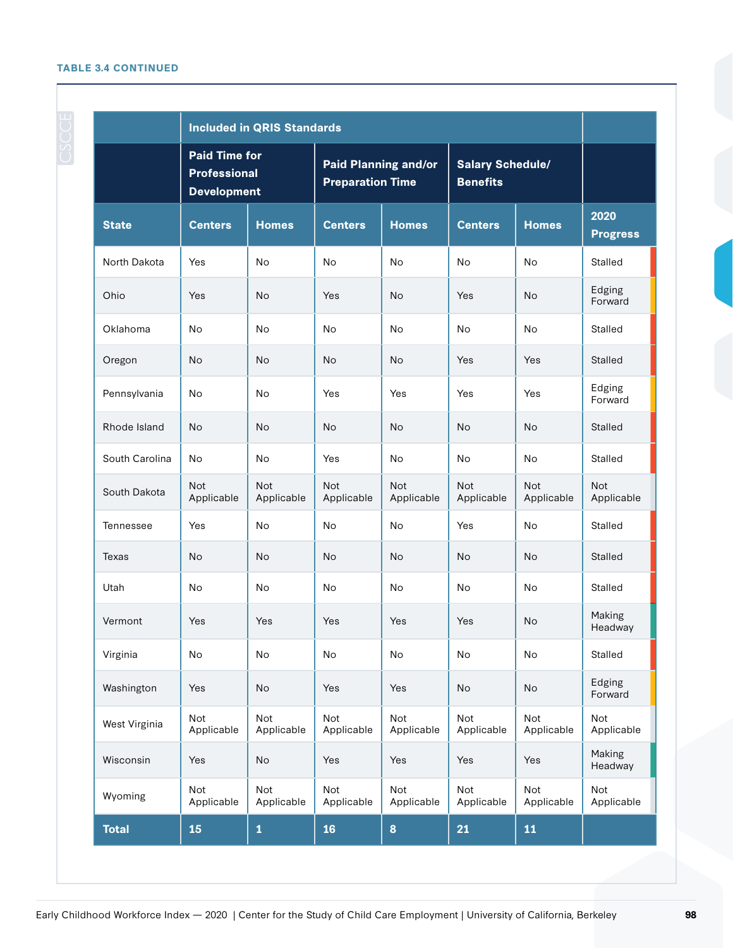#### **TABLE 3.4 CONTINUED**

|                | <b>Included in QRIS Standards</b>                                 |                          |                                                        |                          |                                            |                          |                          |  |
|----------------|-------------------------------------------------------------------|--------------------------|--------------------------------------------------------|--------------------------|--------------------------------------------|--------------------------|--------------------------|--|
|                | <b>Paid Time for</b><br><b>Professional</b><br><b>Development</b> |                          | <b>Paid Planning and/or</b><br><b>Preparation Time</b> |                          | <b>Salary Schedule/</b><br><b>Benefits</b> |                          |                          |  |
| <b>State</b>   | <b>Centers</b>                                                    | <b>Homes</b>             | <b>Centers</b>                                         | <b>Homes</b>             | <b>Centers</b>                             | <b>Homes</b>             | 2020<br><b>Progress</b>  |  |
| North Dakota   | Yes                                                               | <b>No</b>                | <b>No</b>                                              | No                       | No                                         | <b>No</b>                | Stalled                  |  |
| Ohio           | Yes                                                               | <b>No</b>                | Yes                                                    | No                       | Yes                                        | <b>No</b>                | Edging<br>Forward        |  |
| Oklahoma       | No                                                                | No                       | No                                                     | No                       | No                                         | No                       | <b>Stalled</b>           |  |
| Oregon         | <b>No</b>                                                         | <b>No</b>                | <b>No</b>                                              | <b>No</b>                | Yes                                        | Yes                      | Stalled                  |  |
| Pennsylvania   | No                                                                | No                       | Yes                                                    | Yes                      | Yes                                        | Yes                      | Edging<br>Forward        |  |
| Rhode Island   | <b>No</b>                                                         | <b>No</b>                | <b>No</b>                                              | <b>No</b>                | <b>No</b>                                  | <b>No</b>                | Stalled                  |  |
| South Carolina | <b>No</b>                                                         | No                       | Yes                                                    | No                       | No                                         | No                       | Stalled                  |  |
| South Dakota   | <b>Not</b><br>Applicable                                          | <b>Not</b><br>Applicable | <b>Not</b><br>Applicable                               | <b>Not</b><br>Applicable | <b>Not</b><br>Applicable                   | <b>Not</b><br>Applicable | <b>Not</b><br>Applicable |  |
| Tennessee      | Yes                                                               | <b>No</b>                | <b>No</b>                                              | No                       | Yes                                        | No                       | <b>Stalled</b>           |  |
| Texas          | No                                                                | <b>No</b>                | <b>No</b>                                              | <b>No</b>                | <b>No</b>                                  | <b>No</b>                | <b>Stalled</b>           |  |
| Utah           | No                                                                | No                       | No                                                     | No                       | No                                         | No                       | Stalled                  |  |
| Vermont        | Yes                                                               | Yes                      | Yes                                                    | Yes                      | Yes                                        | <b>No</b>                | Making<br>Headway        |  |
| Virginia       | No                                                                | No                       | No                                                     | No                       | No                                         | No                       | <b>Stalled</b>           |  |
| Washington     | Yes                                                               | No                       | Yes                                                    | Yes                      | No                                         | No                       | Edging<br>Forward        |  |
| West Virginia  | Not<br>Applicable                                                 | Not<br>Applicable        | <b>Not</b><br>Applicable                               | <b>Not</b><br>Applicable | <b>Not</b><br>Applicable                   | <b>Not</b><br>Applicable | <b>Not</b><br>Applicable |  |
| Wisconsin      | Yes                                                               | No                       | Yes                                                    | Yes                      | Yes                                        | Yes                      | Making<br>Headway        |  |
| Wyoming        | Not<br>Applicable                                                 | Not<br>Applicable        | <b>Not</b><br>Applicable                               | <b>Not</b><br>Applicable | <b>Not</b><br>Applicable                   | <b>Not</b><br>Applicable | <b>Not</b><br>Applicable |  |
| <b>Total</b>   | 15                                                                | $\mathbf 1$              | 16                                                     | 8                        | 21                                         | 11                       |                          |  |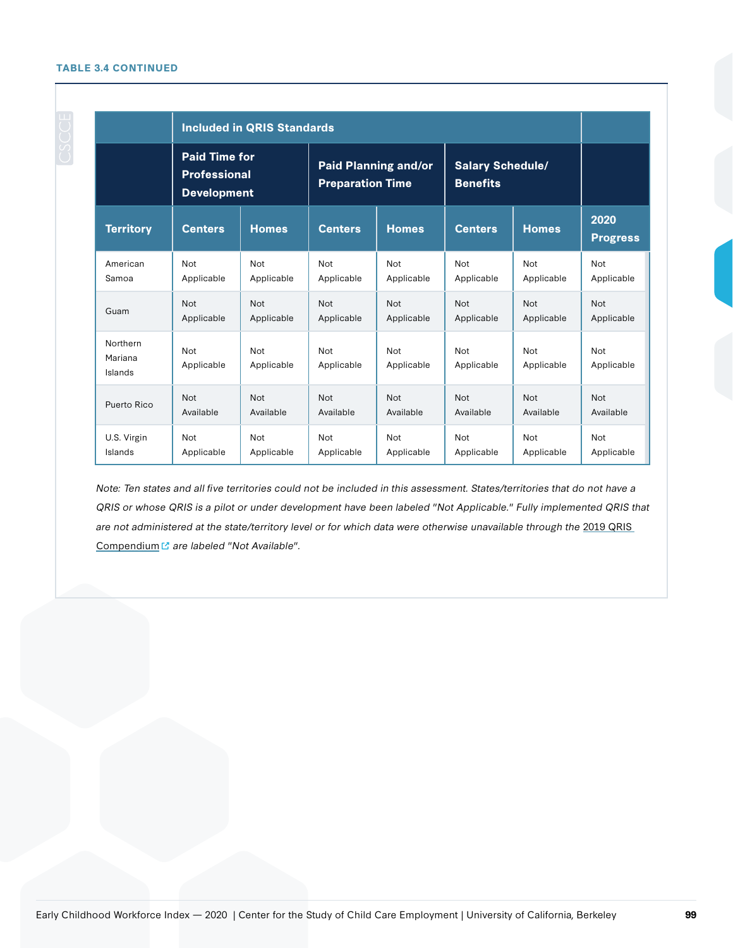#### **TABLE 3.4 CONTINUED**

|                                | <b>Included in QRIS Standards</b>                                 |                   |                                                        |                   |                                            |                          |                         |  |
|--------------------------------|-------------------------------------------------------------------|-------------------|--------------------------------------------------------|-------------------|--------------------------------------------|--------------------------|-------------------------|--|
|                                | <b>Paid Time for</b><br><b>Professional</b><br><b>Development</b> |                   | <b>Paid Planning and/or</b><br><b>Preparation Time</b> |                   | <b>Salary Schedule/</b><br><b>Benefits</b> |                          |                         |  |
| <b>Territory</b>               | <b>Centers</b>                                                    | <b>Homes</b>      | <b>Centers</b>                                         | <b>Homes</b>      | <b>Centers</b>                             | <b>Homes</b>             | 2020<br><b>Progress</b> |  |
| American                       | <b>Not</b>                                                        | Not               | <b>Not</b>                                             | <b>Not</b>        | <b>Not</b>                                 | <b>Not</b>               | Not                     |  |
| Samoa                          | Applicable                                                        | Applicable        | Applicable                                             | Applicable        | Applicable                                 | Applicable               | Applicable              |  |
| Guam                           | <b>Not</b>                                                        | <b>Not</b>        | <b>Not</b>                                             | <b>Not</b>        | <b>Not</b>                                 | <b>Not</b>               | <b>Not</b>              |  |
|                                | Applicable                                                        | Applicable        | Applicable                                             | Applicable        | Applicable                                 | Applicable               | Applicable              |  |
| Northern<br>Mariana<br>Islands | Not<br>Applicable                                                 | Not<br>Applicable | <b>Not</b><br>Applicable                               | Not<br>Applicable | <b>Not</b><br>Applicable                   | <b>Not</b><br>Applicable | Not<br>Applicable       |  |
| Puerto Rico                    | <b>Not</b>                                                        | <b>Not</b>        | <b>Not</b>                                             | <b>Not</b>        | <b>Not</b>                                 | <b>Not</b>               | <b>Not</b>              |  |
|                                | Available                                                         | Available         | Available                                              | Available         | Available                                  | Available                | Available               |  |
| U.S. Virgin                    | <b>Not</b>                                                        | Not               | <b>Not</b>                                             | <b>Not</b>        | <b>Not</b>                                 | Not                      | Not                     |  |
| Islands                        | Applicable                                                        | Applicable        | Applicable                                             | Applicable        | Applicable                                 | Applicable               | Applicable              |  |

Note: Ten states and all five territories could not be included in this assessment. States/territories that do not have a QRIS or whose QRIS is a pilot or under development have been labeled "Not Applicable." Fully implemented QRIS that are not administered at the state/territory level or for which data were otherwise unavailable through the 2019 QRIS [Compendium](https://qualitycompendium.org/) <sup>"</sup> are labeled "Not Available".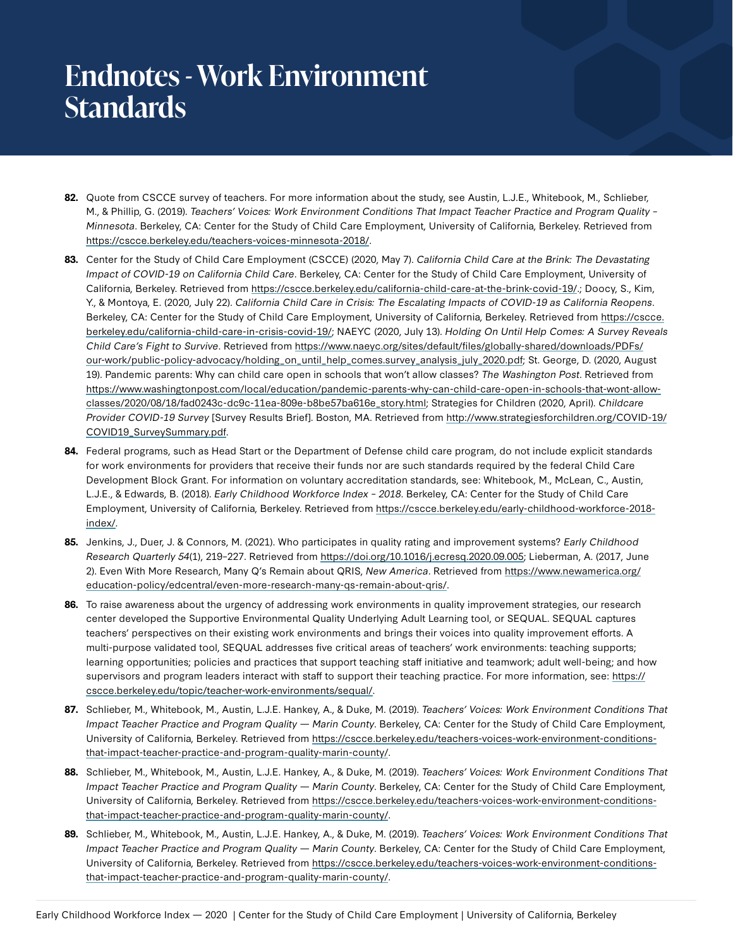## **Endnotes - Work Environment Standards**

- **82.** Quote from CSCCE survey of teachers. For more information about the study, see Austin, L.J.E., Whitebook, M., Schlieber, M., & Phillip, G. (2019). Teachers' Voices: Work Environment Conditions That Impact Teacher Practice and Program Quality – Minnesota. Berkeley, CA: Center for the Study of Child Care Employment, University of California, Berkeley. Retrieved from <https://cscce.berkeley.edu/teachers-voices-minnesota-2018/>.
- **83.** Center for the Study of Child Care Employment (CSCCE) (2020, May 7). California Child Care at the Brink: The Devastating Impact of COVID-19 on California Child Care. Berkeley, CA: Center for the Study of Child Care Employment, University of California, Berkeley. Retrieved from<https://cscce.berkeley.edu/california-child-care-at-the-brink-covid-19/>.; Doocy, S., Kim, Y., & Montoya, E. (2020, July 22). California Child Care in Crisis: The Escalating Impacts of COVID-19 as California Reopens. Berkeley, CA: Center for the Study of Child Care Employment, University of California, Berkeley. Retrieved from [https://cscce.](https://cscce.berkeley.edu/california-child-care-in-crisis-covid-19/) [berkeley.edu/california-child-care-in-crisis-covid-19/](https://cscce.berkeley.edu/california-child-care-in-crisis-covid-19/); NAEYC (2020, July 13). Holding On Until Help Comes: A Survey Reveals Child Care's Fight to Survive. Retrieved from [https://www.naeyc.org/sites/default/files/globally-shared/downloads/PDFs/](https://www.naeyc.org/sites/default/files/globally-shared/downloads/PDFs/our-work/public-policy-advocacy/holding_on_until_help_comes.survey_analysis_july_2020.pdf) [our-work/public-policy-advocacy/holding\\_on\\_until\\_help\\_comes.survey\\_analysis\\_july\\_2020.pdf;](https://www.naeyc.org/sites/default/files/globally-shared/downloads/PDFs/our-work/public-policy-advocacy/holding_on_until_help_comes.survey_analysis_july_2020.pdf) St. George, D. (2020, August 19). Pandemic parents: Why can child care open in schools that won't allow classes? The Washington Post. Retrieved from [https://www.washingtonpost.com/local/education/pandemic-parents-why-can-child-care-open-in-schools-that-wont-allow](https://www.washingtonpost.com/local/education/pandemic-parents-why-can-child-care-open-in-schools-that-wont-allow-classes/2020/08/18/fad0243c-dc9c-11ea-809e-b8be57ba616e_story.html)[classes/2020/08/18/fad0243c-dc9c-11ea-809e-b8be57ba616e\\_story.html](https://www.washingtonpost.com/local/education/pandemic-parents-why-can-child-care-open-in-schools-that-wont-allow-classes/2020/08/18/fad0243c-dc9c-11ea-809e-b8be57ba616e_story.html); Strategies for Children (2020, April). Childcare Provider COVID-19 Survey [Survey Results Brief]. Boston, MA. Retrieved from [http://www.strategiesforchildren.org/COVID-19/](http://www.strategiesforchildren.org/COVID-19/COVID19_SurveySummary.pdf) [COVID19\\_SurveySummary.pdf.](http://www.strategiesforchildren.org/COVID-19/COVID19_SurveySummary.pdf)
- **84.** Federal programs, such as Head Start or the Department of Defense child care program, do not include explicit standards for work environments for providers that receive their funds nor are such standards required by the federal Child Care Development Block Grant. For information on voluntary accreditation standards, see: Whitebook, M., McLean, C., Austin, L.J.E., & Edwards, B. (2018). Early Childhood Workforce Index – 2018. Berkeley, CA: Center for the Study of Child Care Employment, University of California, Berkeley. Retrieved from [https://cscce.berkeley.edu/early-childhood-workforce-2018](https://cscce.berkeley.edu/early-childhood-workforce-2018-index/) [index/](https://cscce.berkeley.edu/early-childhood-workforce-2018-index/).
- **85.** Jenkins, J., Duer, J. & Connors, M. (2021). Who participates in quality rating and improvement systems? Early Childhood Research Quarterly 54(1), 219–227. Retrieved from [https://doi.org/10.1016/j.ecresq.2020.09.005;](https://doi.org/10.1016/j.ecresq.2020.09.005) Lieberman, A. (2017, June 2). Even With More Research, Many Q's Remain about QRIS, New America. Retrieved from [https://www.newamerica.org/](https://www.newamerica.org/education-policy/edcentral/even-more-research-many-qs-remain-about-qris/) [education-policy/edcentral/even-more-research-many-qs-remain-about-qris/](https://www.newamerica.org/education-policy/edcentral/even-more-research-many-qs-remain-about-qris/).
- **86.** To raise awareness about the urgency of addressing work environments in quality improvement strategies, our research center developed the Supportive Environmental Quality Underlying Adult Learning tool, or SEQUAL. SEQUAL captures teachers' perspectives on their existing work environments and brings their voices into quality improvement efforts. A multi-purpose validated tool, SEQUAL addresses five critical areas of teachers' work environments: teaching supports; learning opportunities; policies and practices that support teaching staff initiative and teamwork; adult well-being; and how supervisors and program leaders interact with staff to support their teaching practice. For more information, see: [https://](https://cscce.berkeley.edu/topic/teacher-work-environments/sequal/) [cscce.berkeley.edu/topic/teacher-work-environments/sequal/](https://cscce.berkeley.edu/topic/teacher-work-environments/sequal/).
- **87.** Schlieber, M., Whitebook, M., Austin, L.J.E. Hankey, A., & Duke, M. (2019). Teachers' Voices: Work Environment Conditions That Impact Teacher Practice and Program Quality — Marin County. Berkeley, CA: Center for the Study of Child Care Employment, University of California, Berkeley. Retrieved from [https://cscce.berkeley.edu/teachers-voices-work-environment-conditions](https://cscce.berkeley.edu/teachers-voices-work-environment-conditions-that-impact-teacher-practice-and-program-quality-marin-county/)[that-impact-teacher-practice-and-program-quality-marin-county/](https://cscce.berkeley.edu/teachers-voices-work-environment-conditions-that-impact-teacher-practice-and-program-quality-marin-county/).
- **88.** Schlieber, M., Whitebook, M., Austin, L.J.E. Hankey, A., & Duke, M. (2019). Teachers' Voices: Work Environment Conditions That Impact Teacher Practice and Program Quality — Marin County. Berkeley, CA: Center for the Study of Child Care Employment, University of California, Berkeley. Retrieved from [https://cscce.berkeley.edu/teachers-voices-work-environment-conditions](https://cscce.berkeley.edu/teachers-voices-work-environment-conditions-that-impact-teacher-practice-and-program-quality-marin-county/)[that-impact-teacher-practice-and-program-quality-marin-county/](https://cscce.berkeley.edu/teachers-voices-work-environment-conditions-that-impact-teacher-practice-and-program-quality-marin-county/).
- **89.** Schlieber, M., Whitebook, M., Austin, L.J.E. Hankey, A., & Duke, M. (2019). Teachers' Voices: Work Environment Conditions That Impact Teacher Practice and Program Quality — Marin County. Berkeley, CA: Center for the Study of Child Care Employment, University of California, Berkeley. Retrieved from [https://cscce.berkeley.edu/teachers-voices-work-environment-conditions](https://cscce.berkeley.edu/teachers-voices-work-environment-conditions-that-impact-teacher-practice-and-program-quality-marin-county/)[that-impact-teacher-practice-and-program-quality-marin-county/](https://cscce.berkeley.edu/teachers-voices-work-environment-conditions-that-impact-teacher-practice-and-program-quality-marin-county/).